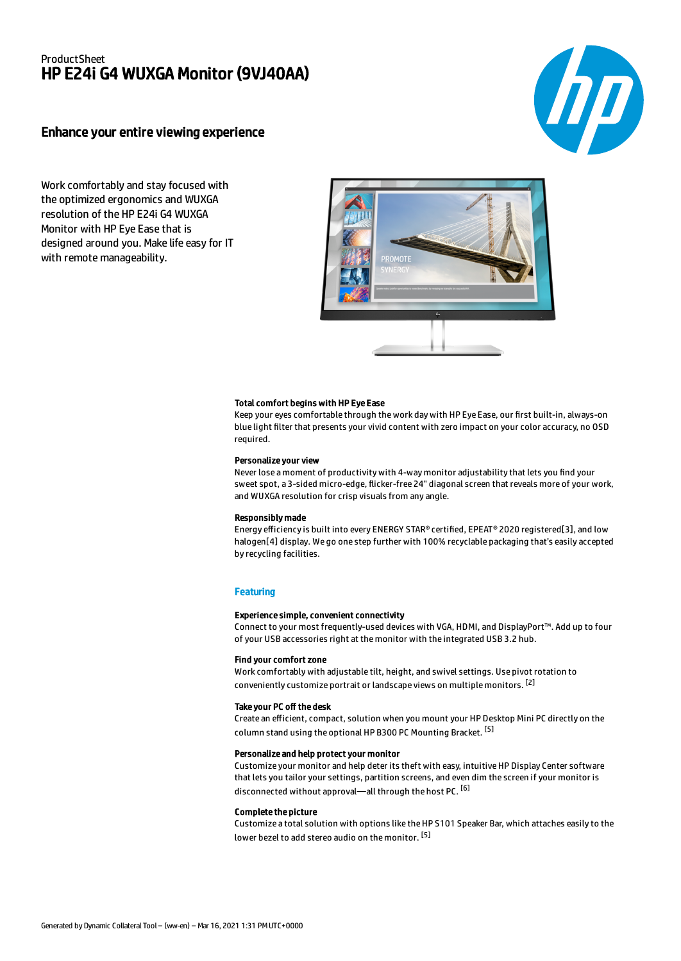# ProductSheet HP E24i G4 WUXGA Monitor (9VJ40AA)

# Enhance your entire viewing experience

Work comfortably and stay focused with the optimized ergonomics and WUXGA resolution of the HP E24i G4 WUXGA Monitor with HP Eye Ease that is designed around you. Make life easy for IT with remote manageability.



#### Total comfort begins with HP Eye Ease

Keep your eyes comfortable through the work day with HP Eye Ease, our first built-in, always-on blue light filter that presents your vivid content with zero impact on your color accuracy, no OSD required.

#### Personalize your view

Never lose a moment of productivity with 4-way monitor adjustability that lets you find your sweet spot, a 3-sided micro-edge, flicker-free 24" diagonal screen that reveals more of your work, and WUXGA resolution for crisp visuals from any angle.

#### Responsibly made

Energy efficiency is built into every ENERGY STAR® certified, EPEAT® 2020 registered[3], and low halogen[4] display. We go one step further with 100% recyclable packaging that's easily accepted by recycling facilities.

#### **Featuring**

#### Experience simple, convenient connectivity

Connect to your most frequently-used devices with VGA, HDMI, and DisplayPort™. Add up to four of your USB accessories right at the monitor with the integrated USB 3.2 hub.

## Find your comfort zone

Work comfortably with adjustable tilt, height, and swivel settings. Use pivot rotation to conveniently customize portrait or landscape views on multiple monitors. [2]

#### Take your PC off the desk

Create an efficient, compact, solution when you mount your HP Desktop Mini PC directly on the column stand using the optional HP B300 PC Mounting Bracket. <sup>[5]</sup>

## Personalize and help protect your monitor

Customize your monitor and help deter its theft with easy, intuitive HP Display Center software that lets you tailor your settings, partition screens, and even dim the screen if your monitor is disconnected without approval—all through the host PC. <sup>[6]</sup>

#### Complete the picture

Customize a total solution with options like the HP S101 Speaker Bar, which attaches easily to the lower bezel to add stereo audio on the monitor. <sup>[5]</sup>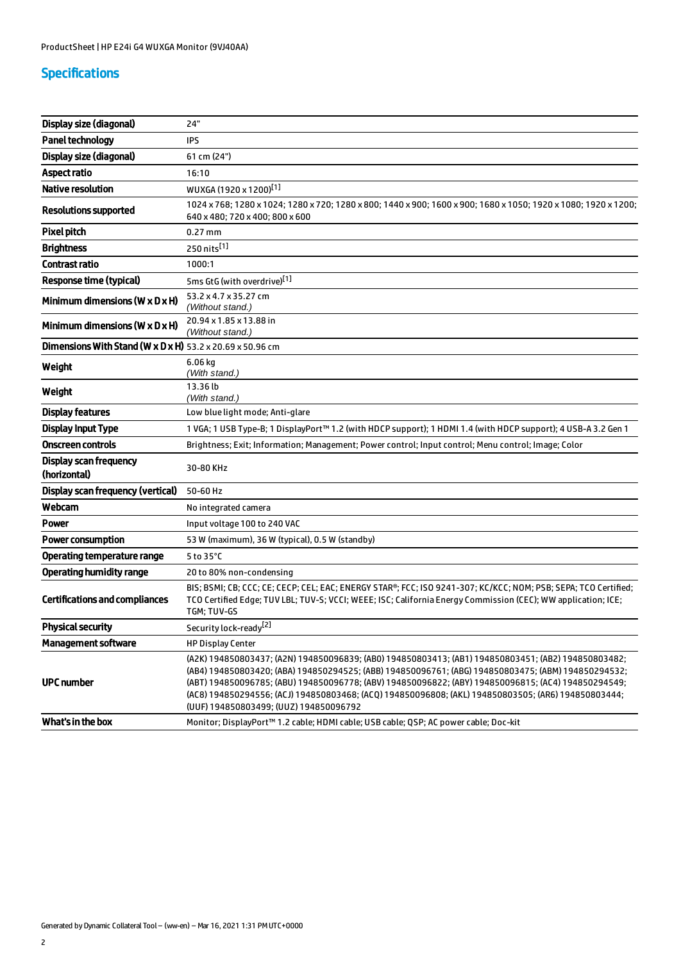# Specifications

| Display size (diagonal)                                                      | 24"                                                                                                                                                                                                                                                                                                                                                                                                                                                                |
|------------------------------------------------------------------------------|--------------------------------------------------------------------------------------------------------------------------------------------------------------------------------------------------------------------------------------------------------------------------------------------------------------------------------------------------------------------------------------------------------------------------------------------------------------------|
| <b>Panel technology</b>                                                      | IPS                                                                                                                                                                                                                                                                                                                                                                                                                                                                |
| Display size (diagonal)                                                      | 61 cm (24")                                                                                                                                                                                                                                                                                                                                                                                                                                                        |
| Aspect ratio                                                                 | 16:10                                                                                                                                                                                                                                                                                                                                                                                                                                                              |
| <b>Native resolution</b>                                                     | WUXGA (1920 x 1200) <sup>[1]</sup>                                                                                                                                                                                                                                                                                                                                                                                                                                 |
| <b>Resolutions supported</b>                                                 | 1024 x 768; 1280 x 1024; 1280 x 720; 1280 x 800; 1440 x 900; 1600 x 900; 1680 x 1050; 1920 x 1080; 1920 x 1200;<br>640 x 480; 720 x 400; 800 x 600                                                                                                                                                                                                                                                                                                                 |
| <b>Pixel pitch</b>                                                           | $0.27$ mm                                                                                                                                                                                                                                                                                                                                                                                                                                                          |
| <b>Brightness</b>                                                            | 250 nits[1]                                                                                                                                                                                                                                                                                                                                                                                                                                                        |
| <b>Contrast ratio</b>                                                        | 1000:1                                                                                                                                                                                                                                                                                                                                                                                                                                                             |
| <b>Response time (typical)</b>                                               | 5ms GtG (with overdrive)[1]                                                                                                                                                                                                                                                                                                                                                                                                                                        |
| Minimum dimensions ( $W \times D \times H$ )                                 | 53.2 x 4.7 x 35.27 cm<br>(Without stand.)                                                                                                                                                                                                                                                                                                                                                                                                                          |
| Minimum dimensions (W $\times$ D $\times$ H)                                 | 20.94 x 1.85 x 13.88 in<br>(Without stand.)                                                                                                                                                                                                                                                                                                                                                                                                                        |
| <b>Dimensions With Stand (W x D x H)</b> $53.2 \times 20.69 \times 50.96$ cm |                                                                                                                                                                                                                                                                                                                                                                                                                                                                    |
| Weight                                                                       | $6.06$ kg<br>(With stand.)                                                                                                                                                                                                                                                                                                                                                                                                                                         |
| Weight                                                                       | 13.36 lb<br>(With stand.)                                                                                                                                                                                                                                                                                                                                                                                                                                          |
| <b>Display features</b>                                                      | Low blue light mode; Anti-glare                                                                                                                                                                                                                                                                                                                                                                                                                                    |
| <b>Display Input Type</b>                                                    | 1 VGA; 1 USB Type-B; 1 DisplayPort™ 1.2 (with HDCP support); 1 HDMI 1.4 (with HDCP support); 4 USB-A 3.2 Gen 1                                                                                                                                                                                                                                                                                                                                                     |
| <b>Onscreen controls</b>                                                     | Brightness; Exit; Information; Management; Power control; Input control; Menu control; Image; Color                                                                                                                                                                                                                                                                                                                                                                |
| Display scan frequency<br>(horizontal)                                       | 30-80 KHz                                                                                                                                                                                                                                                                                                                                                                                                                                                          |
| Display scan frequency (vertical)                                            | 50-60 Hz                                                                                                                                                                                                                                                                                                                                                                                                                                                           |
| Webcam                                                                       | No integrated camera                                                                                                                                                                                                                                                                                                                                                                                                                                               |
| Power                                                                        | Input voltage 100 to 240 VAC                                                                                                                                                                                                                                                                                                                                                                                                                                       |
| <b>Power consumption</b>                                                     | 53 W (maximum), 36 W (typical), 0.5 W (standby)                                                                                                                                                                                                                                                                                                                                                                                                                    |
| Operating temperature range                                                  | 5 to $35^{\circ}$ C                                                                                                                                                                                                                                                                                                                                                                                                                                                |
| <b>Operating humidity range</b>                                              | 20 to 80% non-condensing                                                                                                                                                                                                                                                                                                                                                                                                                                           |
| <b>Certifications and compliances</b>                                        | BIS; BSMI; CB; CCC; CE; CECP; CEL; EAC; ENERGY STAR®; FCC; ISO 9241-307; KC/KCC; NOM; PSB; SEPA; TCO Certified;<br>TCO Certified Edge; TUV LBL; TUV-S; VCCI; WEEE; ISC; California Energy Commission (CEC); WW application; ICE;<br>TGM; TUV-GS                                                                                                                                                                                                                    |
| <b>Physical security</b>                                                     | Security lock-ready <sup>[2]</sup>                                                                                                                                                                                                                                                                                                                                                                                                                                 |
| <b>Management software</b>                                                   | <b>HP Display Center</b>                                                                                                                                                                                                                                                                                                                                                                                                                                           |
| <b>UPC number</b>                                                            | (A2K) 194850803437; (A2N) 194850096839; (AB0) 194850803413; (AB1) 194850803451; (AB2) 194850803482;<br>(AB4) 194850803420; (ABA) 194850294525; (ABB) 194850096761; (ABG) 194850803475; (ABM) 194850294532;<br>(ABT) 194850096785; (ABU) 194850096778; (ABV) 194850096822; (ABY) 194850096815; (AC4) 194850294549;<br>(AC8) 194850294556; (ACJ) 194850803468; (ACQ) 194850096808; (AKL) 194850803505; (AR6) 194850803444;<br>(UUF) 194850803499; (UUZ) 194850096792 |
| What's in the box                                                            | Monitor; DisplayPort™ 1.2 cable; HDMI cable; USB cable; QSP; AC power cable; Doc-kit                                                                                                                                                                                                                                                                                                                                                                               |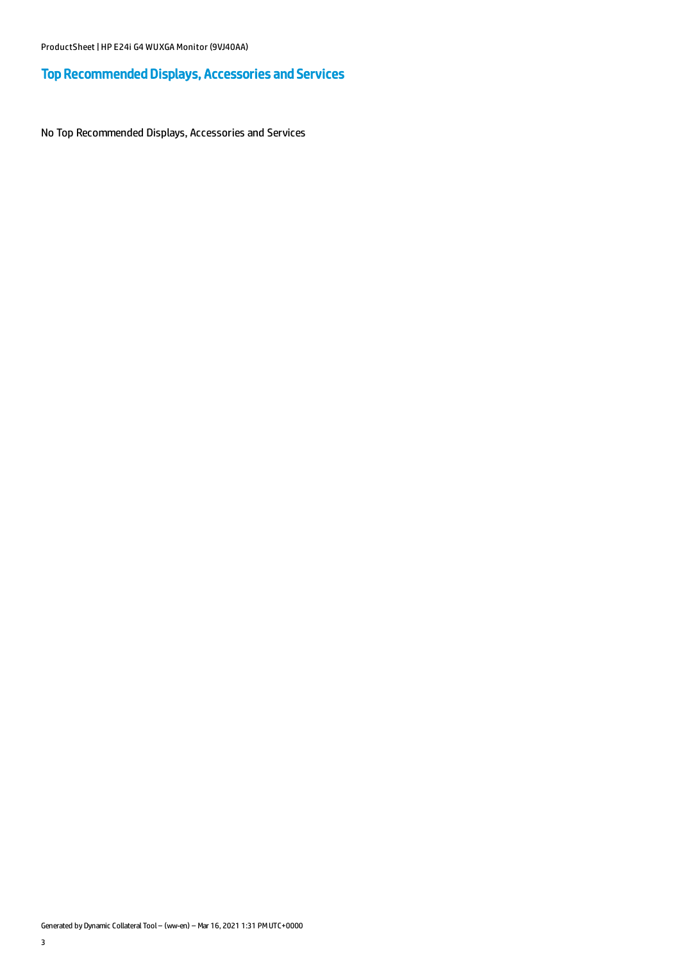# Top Recommended Displays, Accessories and Services

No Top Recommended Displays, Accessories and Services